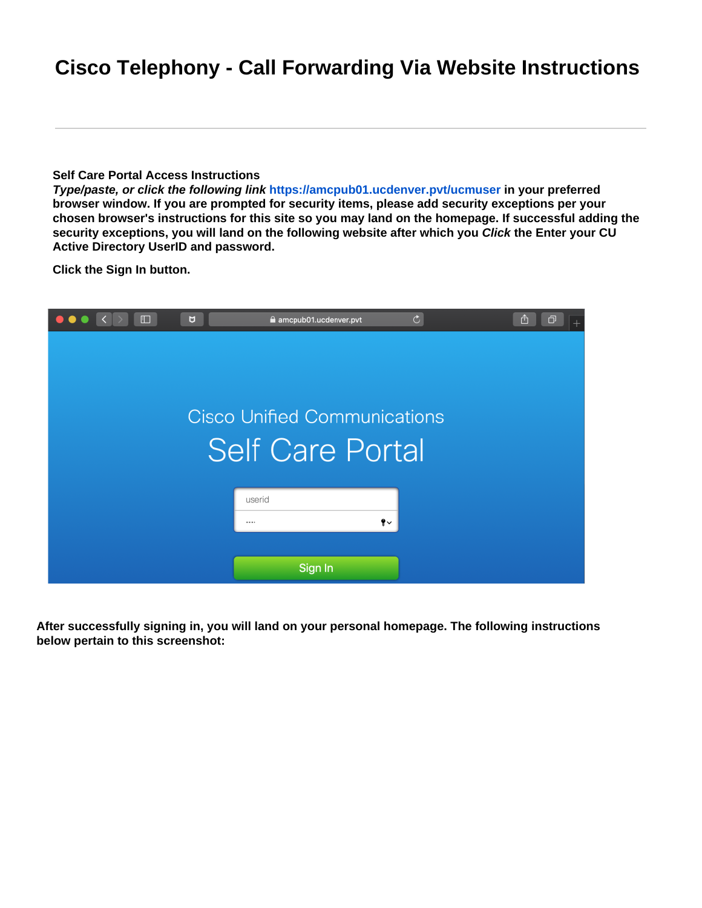## **Cisco Telephony - Call Forwarding Via Website Instructions**

## **Self Care Portal Access Instructions**

**Type/paste, or click the following link <https://amcpub01.ucdenver.pvt/ucmuser> in your preferred browser window. If you are prompted for security items, please add security exceptions per your chosen browser's instructions for this site so you may land on the homepage. If successful adding the security exceptions, you will land on the following website after which you Click the Enter your CU Active Directory UserID and password.**

**Click the Sign In button.**



**After successfully signing in, you will land on your personal homepage. The following instructions below pertain to this screenshot:**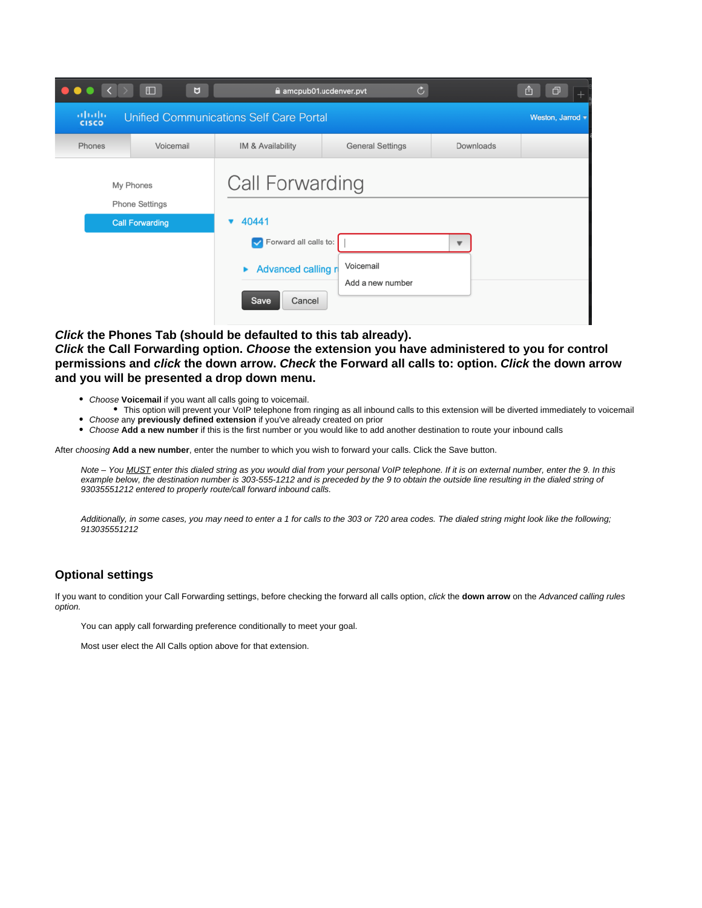| $\bullet$                                                                                                                            | $\square$<br>U         | $\mathfrak{C}$<br>amcpub01.ucdenver.pvt                                |                               |           | O<br>û |
|--------------------------------------------------------------------------------------------------------------------------------------|------------------------|------------------------------------------------------------------------|-------------------------------|-----------|--------|
| $\frac{\mathrm{d}\ln\ln\ln\theta}{\mathrm{c}(\mathrm{s}\,\mathrm{c}\,\mathrm{o})}$<br><b>Unified Communications Self Care Portal</b> | Weston, Jarrod v       |                                                                        |                               |           |        |
| Phones                                                                                                                               | Voicemail              | IM & Availability                                                      | <b>General Settings</b>       | Downloads |        |
| My Phones<br><b>Phone Settings</b>                                                                                                   |                        | Call Forwarding                                                        |                               |           |        |
|                                                                                                                                      | <b>Call Forwarding</b> | 40441<br>Forward all calls to:<br>Advanced calling r<br>Cancel<br>Save | Voicemail<br>Add a new number | ▼         |        |

**Click the Phones Tab (should be defaulted to this tab already).**

**Click** the Call Forwarding option. Choose the extension you have administered to you for control **permissions and** *click* **the down arrow. Check the Forward all calls to: option. Click the down arrow and you will be presented a drop down menu.**

- Choose Voicemail if you want all calls going to voicemail.
- This option will prevent your VoIP telephone from ringing as all inbound calls to this extension will be diverted immediately to voicemail Choose any **previously defined extension** if you've already created on prior
- Choose **Add a new number** if this is the first number or you would like to add another destination to route your inbound calls

After choosing Add a new number, enter the number to which you wish to forward your calls. Click the Save button.

Note – You MUST enter this dialed string as you would dial from your personal VoIP telephone. If it is on external number, enter the 9. In this example below, the destination number is 303-555-1212 and is preceded by the 9 to obtain the outside line resulting in the dialed string of 93035551212 entered to properly route/call forward inbound calls.

Additionally, in some cases, you may need to enter a 1 for calls to the 303 or 720 area codes. The dialed string might look like the following; 913035551212

## **Optional settings**

If you want to condition your Call Forwarding settings, before checking the forward all calls option, click the down arrow on the Advanced calling rules option.

You can apply call forwarding preference conditionally to meet your goal.

Most user elect the All Calls option above for that extension.